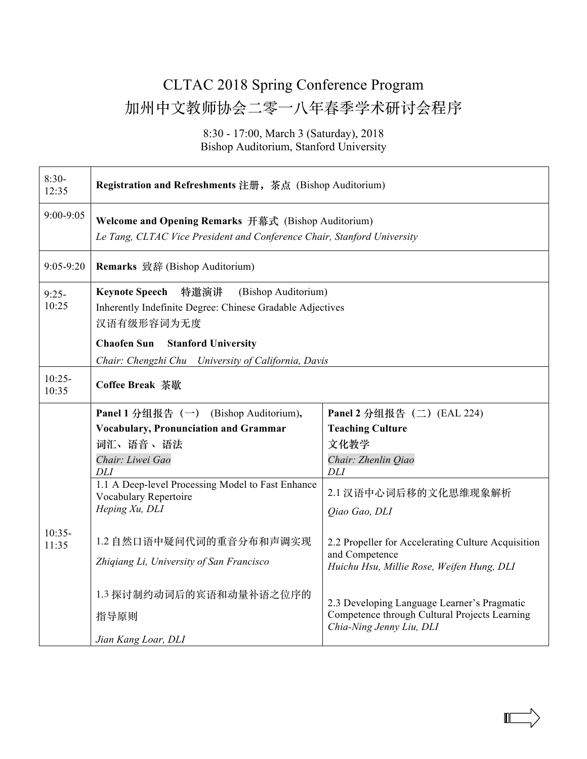## CLTAC 2018 Spring Conference Program 加州中文教师协会二零一八年春季学术研讨会程序

8:30 - 17:00, March 3 (Saturday), 2018 Bishop Auditorium, Stanford University

| $8:30-$<br>12:35  | Registration and Refreshments 注册, 茶点 (Bishop Auditorium)                                                                        |                                                                                                                          |  |
|-------------------|---------------------------------------------------------------------------------------------------------------------------------|--------------------------------------------------------------------------------------------------------------------------|--|
| 9:00-9:05         | Welcome and Opening Remarks 开幕式 (Bishop Auditorium)<br>Le Tang, CLTAC Vice President and Conference Chair, Stanford University  |                                                                                                                          |  |
| $9:05-9:20$       | Remarks 致辞 (Bishop Auditorium)                                                                                                  |                                                                                                                          |  |
| $9:25-$<br>10:25  | <b>Keynote Speech</b><br>特邀演讲<br>(Bishop Auditorium)<br>Inherently Indefinite Degree: Chinese Gradable Adjectives<br>汉语有级形容词为无度 |                                                                                                                          |  |
|                   | <b>Chaofen Sun</b><br><b>Stanford University</b><br>Chair: Chengzhi Chu University of California, Davis                         |                                                                                                                          |  |
| $10:25-$<br>10:35 | <b>Coffee Break 茶歇</b>                                                                                                          |                                                                                                                          |  |
|                   | Panel 1 分组报告 (一) (Bishop Auditorium),                                                                                           | Panel 2 分组报告 (二) (EAL 224)                                                                                               |  |
|                   | <b>Vocabulary, Pronunciation and Grammar</b>                                                                                    | <b>Teaching Culture</b>                                                                                                  |  |
| $10:35-$<br>11:35 | 词汇、语音、语法                                                                                                                        | 文化教学                                                                                                                     |  |
|                   | Chair: Liwei Gao                                                                                                                | Chair: Zhenlin Qiao                                                                                                      |  |
|                   | <b>DLI</b>                                                                                                                      | DLI                                                                                                                      |  |
|                   | 1.1 A Deep-level Processing Model to Fast Enhance<br>Vocabulary Repertoire                                                      | 2.1 汉语中心词后移的文化思维现象解析                                                                                                     |  |
|                   | Heping Xu, DLI                                                                                                                  | Qiao Gao, DLI                                                                                                            |  |
|                   | 1.2 自然口语中疑问代词的重音分布和声调实现<br>Zhiqiang Li, University of San Francisco                                                             | 2.2 Propeller for Accelerating Culture Acquisition<br>and Competence<br>Huichu Hsu, Millie Rose, Weifen Hung, DLI        |  |
|                   | 1.3 探讨制约动词后的宾语和动量补语之位序的                                                                                                         |                                                                                                                          |  |
|                   | 指导原则                                                                                                                            | 2.3 Developing Language Learner's Pragmatic<br>Competence through Cultural Projects Learning<br>Chia-Ning Jenny Liu, DLI |  |
|                   | Jian Kang Loar, DLI                                                                                                             |                                                                                                                          |  |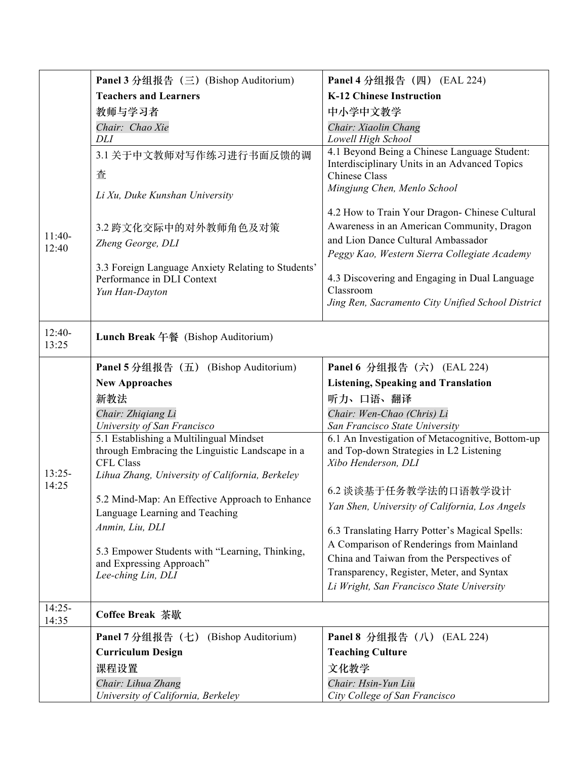|                   | Panel 3 分组报告 (三) (Bishop Auditorium)                                                               | Panel 4 分组报告 (四) (EAL 224)                                                                    |
|-------------------|----------------------------------------------------------------------------------------------------|-----------------------------------------------------------------------------------------------|
|                   | <b>Teachers and Learners</b>                                                                       | <b>K-12 Chinese Instruction</b>                                                               |
|                   | 教师与学习者                                                                                             | 中小学中文教学                                                                                       |
|                   | Chair: Chao Xie                                                                                    | Chair: Xiaolin Chang                                                                          |
|                   | DLI                                                                                                | Lowell High School                                                                            |
|                   | 3.1 关于中文教师对写作练习进行书面反馈的调                                                                            | 4.1 Beyond Being a Chinese Language Student:<br>Interdisciplinary Units in an Advanced Topics |
|                   | 査                                                                                                  | <b>Chinese Class</b>                                                                          |
|                   | Li Xu, Duke Kunshan University                                                                     | Mingjung Chen, Menlo School                                                                   |
|                   |                                                                                                    | 4.2 How to Train Your Dragon- Chinese Cultural                                                |
| $11:40-$          | 3.2 跨文化交际中的对外教师角色及对策                                                                               | Awareness in an American Community, Dragon                                                    |
| 12:40             | Zheng George, DLI                                                                                  | and Lion Dance Cultural Ambassador                                                            |
|                   |                                                                                                    | Peggy Kao, Western Sierra Collegiate Academy                                                  |
|                   | 3.3 Foreign Language Anxiety Relating to Students'<br>Performance in DLI Context<br>Yun Han-Dayton | 4.3 Discovering and Engaging in Dual Language<br>Classroom                                    |
|                   |                                                                                                    | Jing Ren, Sacramento City Unified School District                                             |
| $12:40-$<br>13:25 | Lunch Break 午餐 (Bishop Auditorium)                                                                 |                                                                                               |
|                   | Panel 5 分组报告 (五) (Bishop Auditorium)                                                               | Panel 6 分组报告 (六) (EAL 224)                                                                    |
|                   | <b>New Approaches</b>                                                                              | <b>Listening, Speaking and Translation</b>                                                    |
|                   | 新教法                                                                                                | 听力、口语、翻译                                                                                      |
|                   | Chair: Zhiqiang Li                                                                                 | Chair: Wen-Chao (Chris) Li                                                                    |
|                   | University of San Francisco                                                                        | San Francisco State University                                                                |
|                   | 5.1 Establishing a Multilingual Mindset                                                            | 6.1 An Investigation of Metacognitive, Bottom-up                                              |
|                   | through Embracing the Linguistic Landscape in a                                                    | and Top-down Strategies in L2 Listening                                                       |
| $13:25-$          | <b>CFL Class</b>                                                                                   | Xibo Henderson, DLI                                                                           |
| 14:25             | Lihua Zhang, University of California, Berkeley                                                    |                                                                                               |
|                   | 5.2 Mind-Map: An Effective Approach to Enhance                                                     | 6.2 谈谈基于任务教学法的口语教学设计                                                                          |
|                   | Language Learning and Teaching                                                                     | Yan Shen, University of California, Los Angels                                                |
|                   | Anmin, Liu, DLI                                                                                    | 6.3 Translating Harry Potter's Magical Spells:                                                |
|                   |                                                                                                    | A Comparison of Renderings from Mainland                                                      |
|                   | 5.3 Empower Students with "Learning, Thinking,                                                     | China and Taiwan from the Perspectives of                                                     |
|                   | and Expressing Approach"<br>Lee-ching Lin, DLI                                                     | Transparency, Register, Meter, and Syntax                                                     |
|                   |                                                                                                    | Li Wright, San Francisco State University                                                     |
| $14:25-$<br>14:35 | <b>Coffee Break 茶歇</b>                                                                             |                                                                                               |
|                   | (Bishop Auditorium)<br>Panel 7 分组报告 (七)                                                            | Panel 8 分组报告 (八) (EAL 224)                                                                    |
|                   | <b>Curriculum Design</b>                                                                           | <b>Teaching Culture</b>                                                                       |
|                   | 课程设置                                                                                               | 文化教学                                                                                          |
|                   | Chair: Lihua Zhang                                                                                 | Chair: Hsin-Yun Liu                                                                           |
|                   | University of California, Berkeley                                                                 | City College of San Francisco                                                                 |